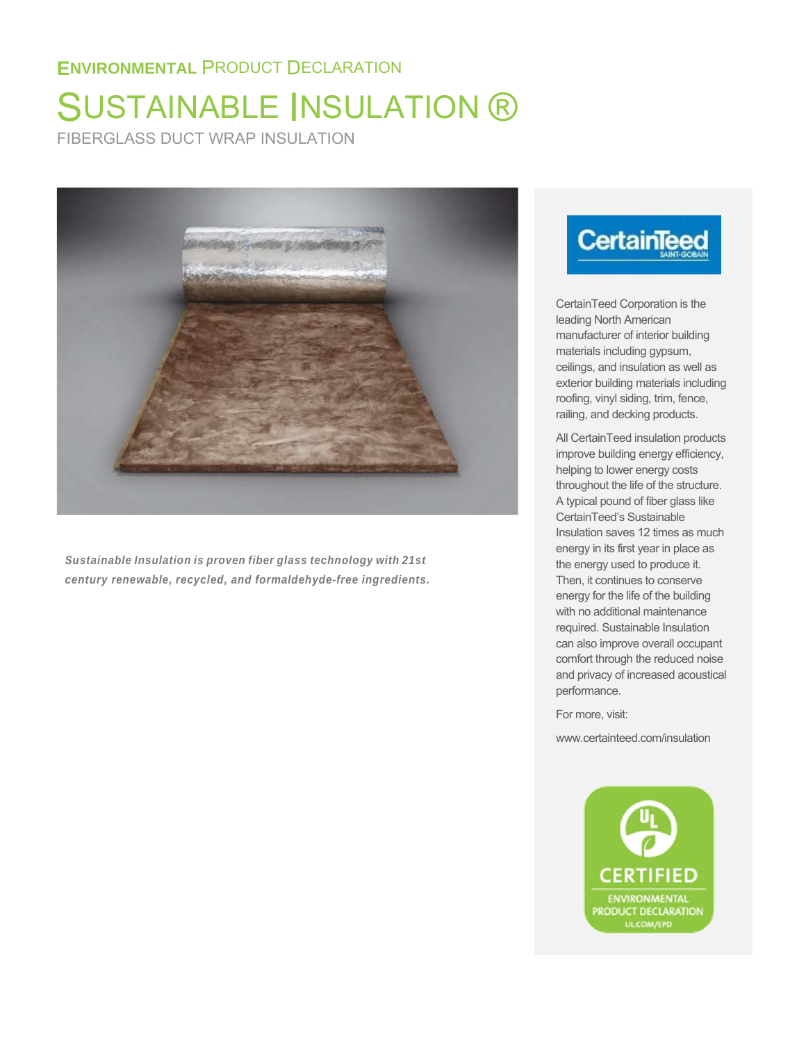# SUSTAINABLE INSULATION ®

FIBERGLASS DUCT WRAP INSULATION



*Sustainable Insulation is proven fiber glass technology with 21st century renewable, recycled, and formaldehyde-free ingredients.*

# **CertainTeed**

CertainTeed Corporation is the leading North American manufacturer of interior building materials including gypsum, ceilings, and insulation as well as exterior building materials including roofing, vinyl siding, trim, fence, railing, and decking products.

All CertainTeed insulation products improve building energy efficiency, helping to lower energy costs throughout the life of the structure. A typical pound of fiber glass like CertainTeed's Sustainable Insulation saves 12 times as much energy in its first year in place as the energy used to produce it. Then, it continues to conserve energy for the life of the building with no additional maintenance required. Sustainable Insulation can also improve overall occupant comfort through the reduced noise and privacy of increased acoustical performance.

For more, visit:

www.certainteed.com/insulation

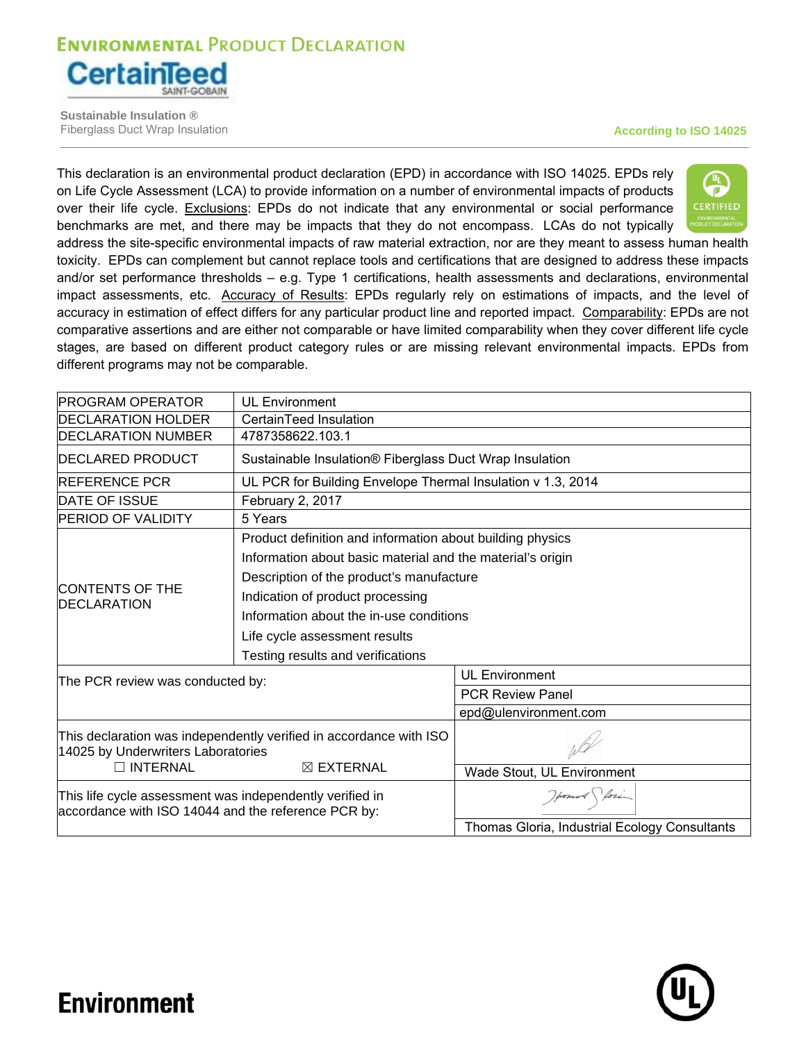

**Sustainable Insulation ®** Fiberglass Duct Wrap Insulation **According to ISO 14025**

This declaration is an environmental product declaration (EPD) in accordance with ISO 14025. EPDs rely on Life Cycle Assessment (LCA) to provide information on a number of environmental impacts of products over their life cycle. Exclusions: EPDs do not indicate that any environmental or social performance benchmarks are met, and there may be impacts that they do not encompass. LCAs do not typically



address the site-specific environmental impacts of raw material extraction, nor are they meant to assess human health toxicity. EPDs can complement but cannot replace tools and certifications that are designed to address these impacts and/or set performance thresholds – e.g. Type 1 certifications, health assessments and declarations, environmental impact assessments, etc. Accuracy of Results: EPDs regularly rely on estimations of impacts, and the level of accuracy in estimation of effect differs for any particular product line and reported impact. Comparability: EPDs are not comparative assertions and are either not comparable or have limited comparability when they cover different life cycle stages, are based on different product category rules or are missing relevant environmental impacts. EPDs from different programs may not be comparable.

| <b>IPROGRAM OPERATOR</b>                                                                                        | <b>UL Environment</b>                                              |                                               |  |  |  |
|-----------------------------------------------------------------------------------------------------------------|--------------------------------------------------------------------|-----------------------------------------------|--|--|--|
| <b>IDECLARATION HOLDER</b>                                                                                      | CertainTeed Insulation                                             |                                               |  |  |  |
| <b>DECLARATION NUMBER</b>                                                                                       | 4787358622.103.1                                                   |                                               |  |  |  |
| <b>DECLARED PRODUCT</b>                                                                                         | Sustainable Insulation® Fiberglass Duct Wrap Insulation            |                                               |  |  |  |
| <b>IREFERENCE PCR</b>                                                                                           | UL PCR for Building Envelope Thermal Insulation v 1.3, 2014        |                                               |  |  |  |
| <b>DATE OF ISSUE</b>                                                                                            | February 2, 2017                                                   |                                               |  |  |  |
| <b>PERIOD OF VALIDITY</b>                                                                                       | 5 Years                                                            |                                               |  |  |  |
|                                                                                                                 | Product definition and information about building physics          |                                               |  |  |  |
|                                                                                                                 | Information about basic material and the material's origin         |                                               |  |  |  |
|                                                                                                                 | Description of the product's manufacture                           |                                               |  |  |  |
| CONTENTS OF THE<br><b>IDECLARATION</b>                                                                          | Indication of product processing                                   |                                               |  |  |  |
|                                                                                                                 | Information about the in-use conditions                            |                                               |  |  |  |
|                                                                                                                 | Life cycle assessment results                                      |                                               |  |  |  |
|                                                                                                                 | Testing results and verifications                                  |                                               |  |  |  |
| The PCR review was conducted by:                                                                                |                                                                    | <b>UL Environment</b>                         |  |  |  |
|                                                                                                                 |                                                                    | <b>PCR Review Panel</b>                       |  |  |  |
|                                                                                                                 |                                                                    | epd@ulenvironment.com                         |  |  |  |
| 14025 by Underwriters Laboratories                                                                              | This declaration was independently verified in accordance with ISO |                                               |  |  |  |
| <b>INTERNAL</b>                                                                                                 | $\boxtimes$ EXTERNAL                                               | Wade Stout, UL Environment                    |  |  |  |
| This life cycle assessment was independently verified in<br>accordance with ISO 14044 and the reference PCR by: |                                                                    | Howard fori                                   |  |  |  |
|                                                                                                                 |                                                                    | Thomas Gloria, Industrial Ecology Consultants |  |  |  |

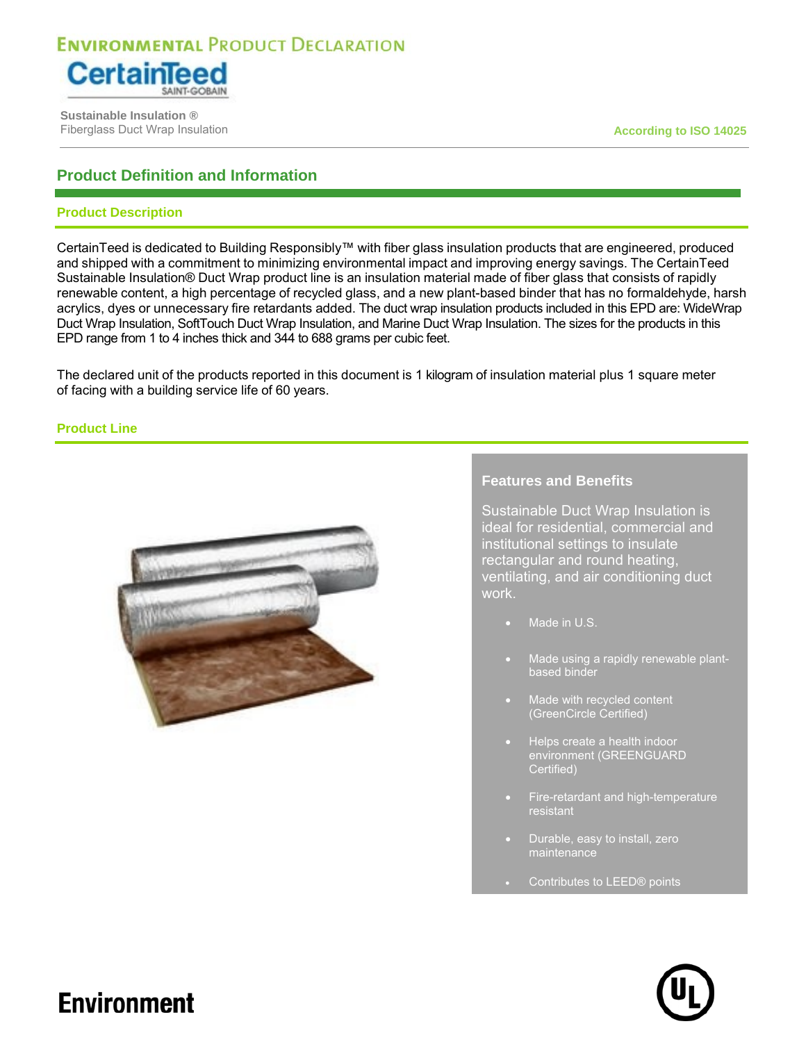

 **Sustainable Insulation ®** Fiberglass Duct Wrap Insulation **According to ISO 14025 According to ISO 14025** 

### **Product Definition and Information**

### **Product Description**

CertainTeed is dedicated to Building Responsibly™ with fiber glass insulation products that are engineered, produced and shipped with a commitment to minimizing environmental impact and improving energy savings. The CertainTeed Sustainable Insulation® Duct Wrap product line is an insulation material made of fiber glass that consists of rapidly renewable content, a high percentage of recycled glass, and a new plant-based binder that has no formaldehyde, harsh acrylics, dyes or unnecessary fire retardants added. The duct wrap insulation products included in this EPD are: WideWrap Duct Wrap Insulation, SoftTouch Duct Wrap Insulation, and Marine Duct Wrap Insulation. The sizes for the products in this EPD range from 1 to 4 inches thick and 344 to 688 grams per cubic feet.

The declared unit of the products reported in this document is 1 kilogram of insulation material plus 1 square meter of facing with a building service life of 60 years.

**Product Line** 



### **Features and Benefits**

Sustainable Duct Wrap Insulation is ideal for residential, commercial and institutional settings to insulate rectangular and round heating, ventilating, and air conditioning duct work.

- Made in U.S.
- Made using a rapidly renewable plantbased binder
- Made with recycled content (GreenCircle Certified)
- Helps create a health indoor environment (GREENGUARD Certified)
- Fire-retardant and high-temperature resistant
- Durable, easy to install, zero maintenance
- Contributes to LEED® points

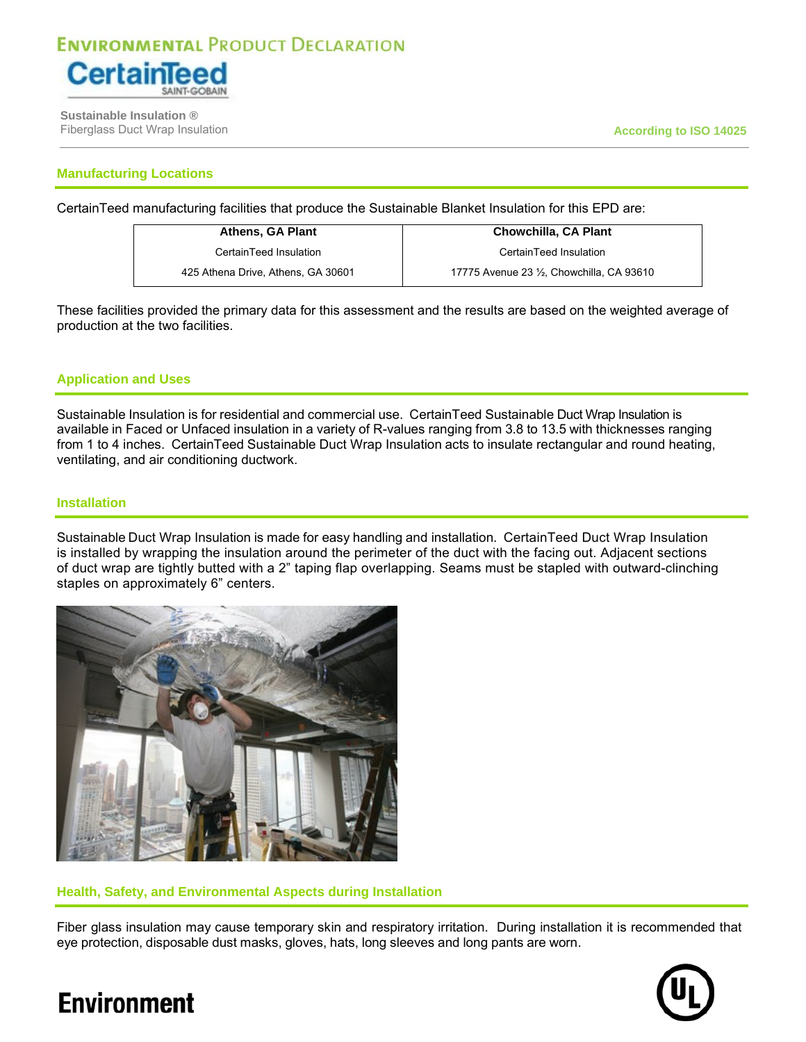

 **Sustainable Insulation ®** Fiberglass Duct Wrap Insulation **According to ISO 14025**

### **Manufacturing Locations**

CertainTeed manufacturing facilities that produce the Sustainable Blanket Insulation for this EPD are:

**Athens, GA Plant**  CertainTeed Insulation 425 Athena Drive, Athens, GA 30601

**Chowchilla, CA Plant**  CertainTeed Insulation 17775 Avenue 23 ½, Chowchilla, CA 93610

These facilities provided the primary data for this assessment and the results are based on the weighted average of production at the two facilities.

### **Application and Uses**

Sustainable Insulation is for residential and commercial use. CertainTeed Sustainable Duct Wrap Insulation is available in Faced or Unfaced insulation in a variety of R-values ranging from 3.8 to 13.5 with thicknesses ranging from 1 to 4 inches. CertainTeed Sustainable Duct Wrap Insulation acts to insulate rectangular and round heating, ventilating, and air conditioning ductwork.

### **Installation**

Sustainable Duct Wrap Insulation is made for easy handling and installation. CertainTeed Duct Wrap Insulation is installed by wrapping the insulation around the perimeter of the duct with the facing out. Adjacent sections of duct wrap are tightly butted with a 2" taping flap overlapping. Seams must be stapled with outward-clinching staples on approximately 6" centers.



**Health, Safety, and Environmental Aspects during Installation** 

Fiber glass insulation may cause temporary skin and respiratory irritation. During installation it is recommended that eye protection, disposable dust masks, gloves, hats, long sleeves and long pants are worn.

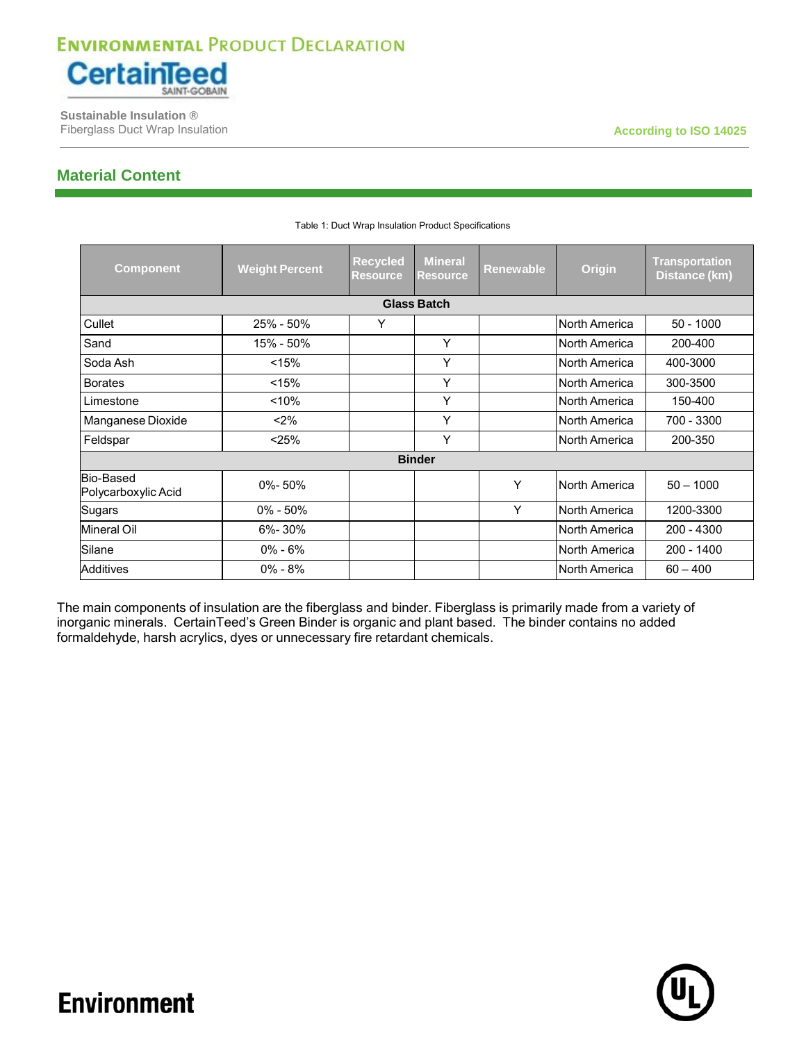

 **Sustainable Insulation ®** Fiberglass Duct Wrap Insulation **According to ISO 14025 According to ISO 14025** 

### **Material Content**

| <b>Component</b>                 | <b>Weight Percent</b> | <b>Recycled</b><br><b>Resource</b> | <b>Mineral</b><br><b>Resource</b> | <b>Renewable</b> | Origin        | <b>Transportation</b><br>Distance (km) |
|----------------------------------|-----------------------|------------------------------------|-----------------------------------|------------------|---------------|----------------------------------------|
|                                  |                       |                                    | <b>Glass Batch</b>                |                  |               |                                        |
| Cullet                           | 25% - 50%             | Υ                                  |                                   |                  | North America | $50 - 1000$                            |
| Sand                             | 15% - 50%             |                                    | Y                                 |                  | North America | 200-400                                |
| Soda Ash                         | < 15%                 |                                    | Y                                 |                  | North America | 400-3000                               |
| <b>Borates</b>                   | < 15%                 |                                    | Y                                 |                  | North America | 300-3500                               |
| Limestone                        | < 10%                 |                                    | Y                                 |                  | North America | 150-400                                |
| Manganese Dioxide                | $< 2\%$               |                                    | Y                                 |                  | North America | 700 - 3300                             |
| Feldspar                         | < 25%                 |                                    | Y                                 |                  | North America | 200-350                                |
|                                  |                       |                                    | <b>Binder</b>                     |                  |               |                                        |
| Bio-Based<br>Polycarboxylic Acid | 0%-50%                |                                    |                                   | Υ                | North America | $50 - 1000$                            |
| Sugars                           | $0\% - 50\%$          |                                    |                                   | Υ                | North America | 1200-3300                              |
| <b>Mineral Oil</b>               | 6%-30%                |                                    |                                   |                  | North America | 200 - 4300                             |
| Silane                           | $0\% - 6\%$           |                                    |                                   |                  | North America | 200 - 1400                             |
| <b>Additives</b>                 | $0\% - 8\%$           |                                    |                                   |                  | North America | $60 - 400$                             |

#### Table 1: Duct Wrap Insulation Product Specifications

The main components of insulation are the fiberglass and binder. Fiberglass is primarily made from a variety of inorganic minerals. CertainTeed's Green Binder is organic and plant based. The binder contains no added formaldehyde, harsh acrylics, dyes or unnecessary fire retardant chemicals.

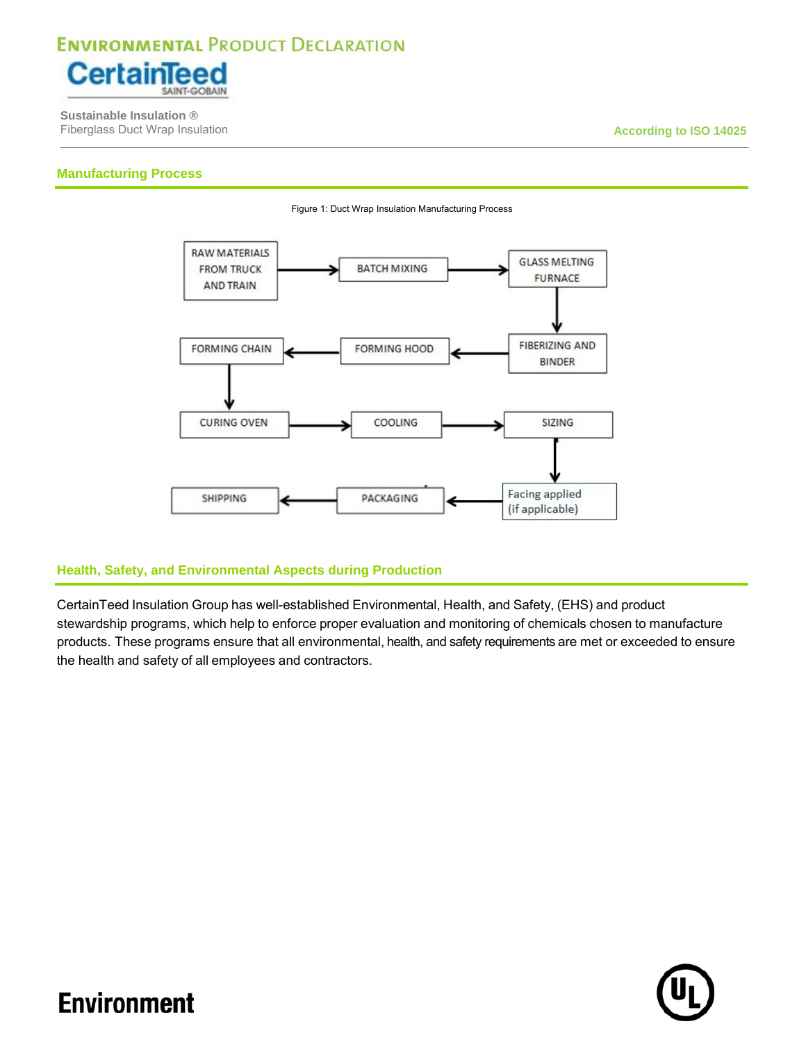

 **Sustainable Insulation ®** Fiberglass Duct Wrap Insulation **According to ISO 14025**

### **Manufacturing Process**



Figure 1: Duct Wrap Insulation Manufacturing Process

### **Health, Safety, and Environmental Aspects during Production**

CertainTeed Insulation Group has well-established Environmental, Health, and Safety, (EHS) and product stewardship programs, which help to enforce proper evaluation and monitoring of chemicals chosen to manufacture products. These programs ensure that all environmental, health, and safety requirements are met or exceeded to ensure the health and safety of all employees and contractors.

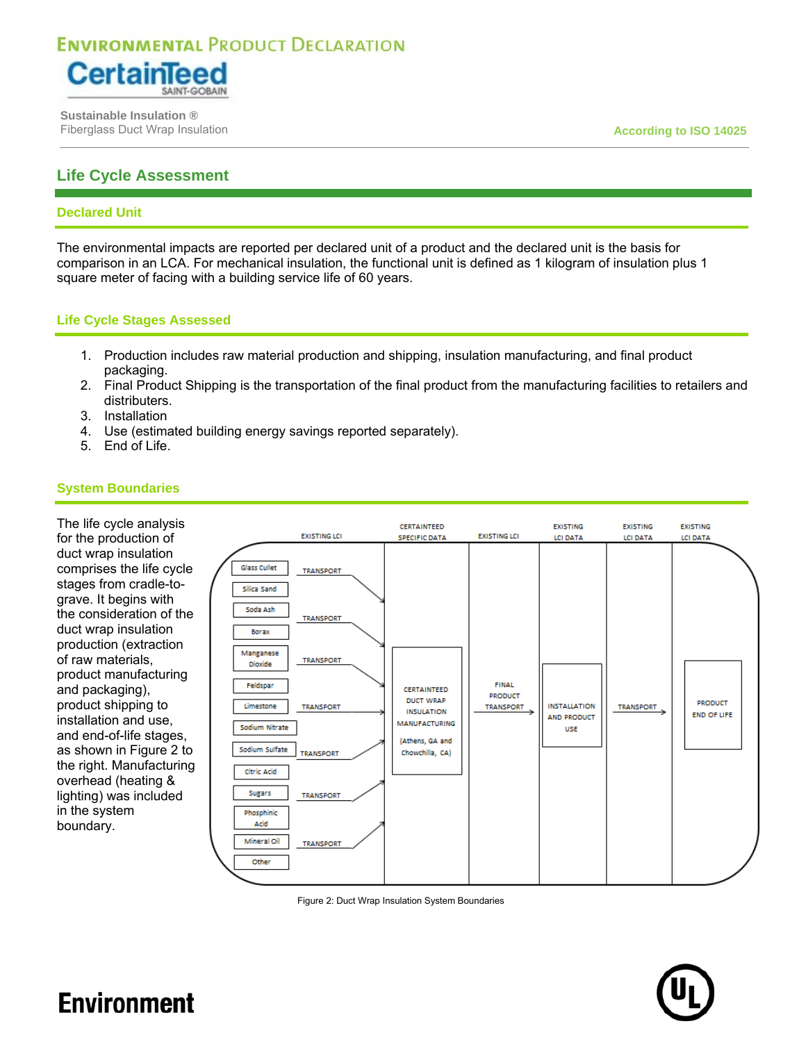

 **Sustainable Insulation ®** Fiberglass Duct Wrap Insulation **According to ISO 14025**

### **Life Cycle Assessment**

#### **Declared Unit**

The environmental impacts are reported per declared unit of a product and the declared unit is the basis for comparison in an LCA. For mechanical insulation, the functional unit is defined as 1 kilogram of insulation plus 1 square meter of facing with a building service life of 60 years.

### **Life Cycle Stages Assessed**

- 1. Production includes raw material production and shipping, insulation manufacturing, and final product packaging.
- 2. Final Product Shipping is the transportation of the final product from the manufacturing facilities to retailers and distributers.
- 3. Installation
- 4. Use (estimated building energy savings reported separately).
- 5. End of Life.

### **System Boundaries**

The life cycle analysis for the production of duct wrap insulation comprises the life cycle stages from cradle-tograve. It begins with the consideration of the duct wrap insulation production (extraction of raw materials, product manufacturing and packaging), product shipping to installation and use, and end-of-life stages, as shown in Figure 2 to the right. Manufacturing overhead (heating & lighting) was included in the system boundary.



Figure 2: Duct Wrap Insulation System Boundaries

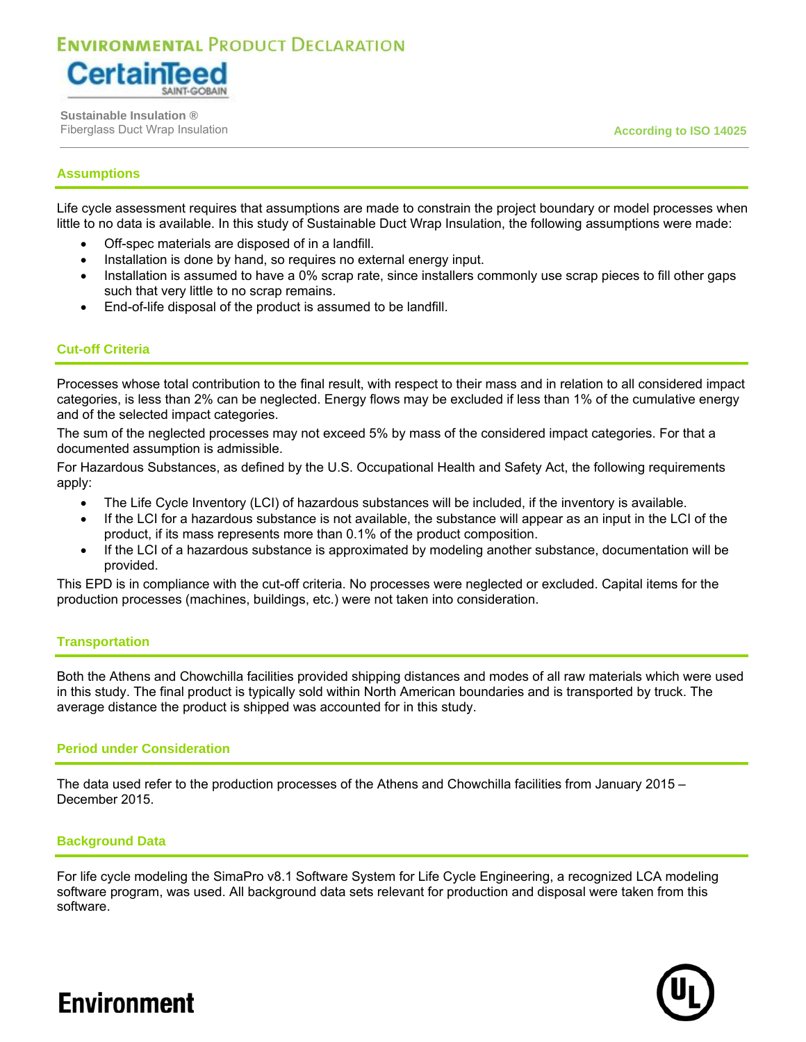

 **Sustainable Insulation ®** Fiberglass Duct Wrap Insulation **According to ISO 14025**

### **Assumptions**

Life cycle assessment requires that assumptions are made to constrain the project boundary or model processes when little to no data is available. In this study of Sustainable Duct Wrap Insulation, the following assumptions were made:

- Off-spec materials are disposed of in a landfill.
- Installation is done by hand, so requires no external energy input.
- Installation is assumed to have a 0% scrap rate, since installers commonly use scrap pieces to fill other gaps such that very little to no scrap remains.
- End-of-life disposal of the product is assumed to be landfill.

### **Cut-off Criteria**

Processes whose total contribution to the final result, with respect to their mass and in relation to all considered impact categories, is less than 2% can be neglected. Energy flows may be excluded if less than 1% of the cumulative energy and of the selected impact categories.

The sum of the neglected processes may not exceed 5% by mass of the considered impact categories. For that a documented assumption is admissible.

For Hazardous Substances, as defined by the U.S. Occupational Health and Safety Act, the following requirements apply:

- The Life Cycle Inventory (LCI) of hazardous substances will be included, if the inventory is available.
- If the LCI for a hazardous substance is not available, the substance will appear as an input in the LCI of the product, if its mass represents more than 0.1% of the product composition.
- If the LCI of a hazardous substance is approximated by modeling another substance, documentation will be provided.

This EPD is in compliance with the cut-off criteria. No processes were neglected or excluded. Capital items for the production processes (machines, buildings, etc.) were not taken into consideration.

#### **Transportation**

Both the Athens and Chowchilla facilities provided shipping distances and modes of all raw materials which were used in this study. The final product is typically sold within North American boundaries and is transported by truck. The average distance the product is shipped was accounted for in this study.

#### **Period under Consideration**

The data used refer to the production processes of the Athens and Chowchilla facilities from January 2015 – December 2015.

#### **Background Data**

For life cycle modeling the SimaPro v8.1 Software System for Life Cycle Engineering, a recognized LCA modeling software program, was used. All background data sets relevant for production and disposal were taken from this software.

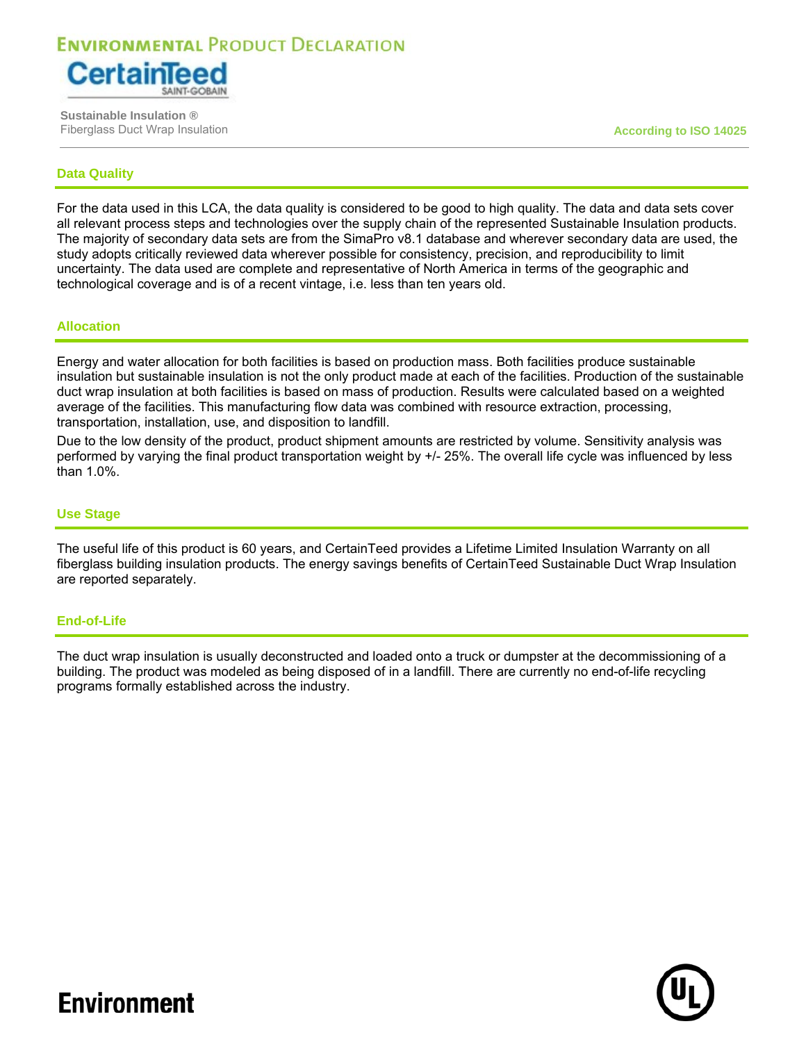

 **Sustainable Insulation ®** Fiberglass Duct Wrap Insulation **According to ISO 14025**

### **Data Quality**

For the data used in this LCA, the data quality is considered to be good to high quality. The data and data sets cover all relevant process steps and technologies over the supply chain of the represented Sustainable Insulation products. The majority of secondary data sets are from the SimaPro v8.1 database and wherever secondary data are used, the study adopts critically reviewed data wherever possible for consistency, precision, and reproducibility to limit uncertainty. The data used are complete and representative of North America in terms of the geographic and technological coverage and is of a recent vintage, i.e. less than ten years old.

#### **Allocation**

Energy and water allocation for both facilities is based on production mass. Both facilities produce sustainable insulation but sustainable insulation is not the only product made at each of the facilities. Production of the sustainable duct wrap insulation at both facilities is based on mass of production. Results were calculated based on a weighted average of the facilities. This manufacturing flow data was combined with resource extraction, processing, transportation, installation, use, and disposition to landfill.

Due to the low density of the product, product shipment amounts are restricted by volume. Sensitivity analysis was performed by varying the final product transportation weight by +/- 25%. The overall life cycle was influenced by less than 1.0%.

#### **Use Stage**

The useful life of this product is 60 years, and CertainTeed provides a Lifetime Limited Insulation Warranty on all fiberglass building insulation products. The energy savings benefits of CertainTeed Sustainable Duct Wrap Insulation are reported separately.

#### **End-of-Life**

The duct wrap insulation is usually deconstructed and loaded onto a truck or dumpster at the decommissioning of a building. The product was modeled as being disposed of in a landfill. There are currently no end-of-life recycling programs formally established across the industry.

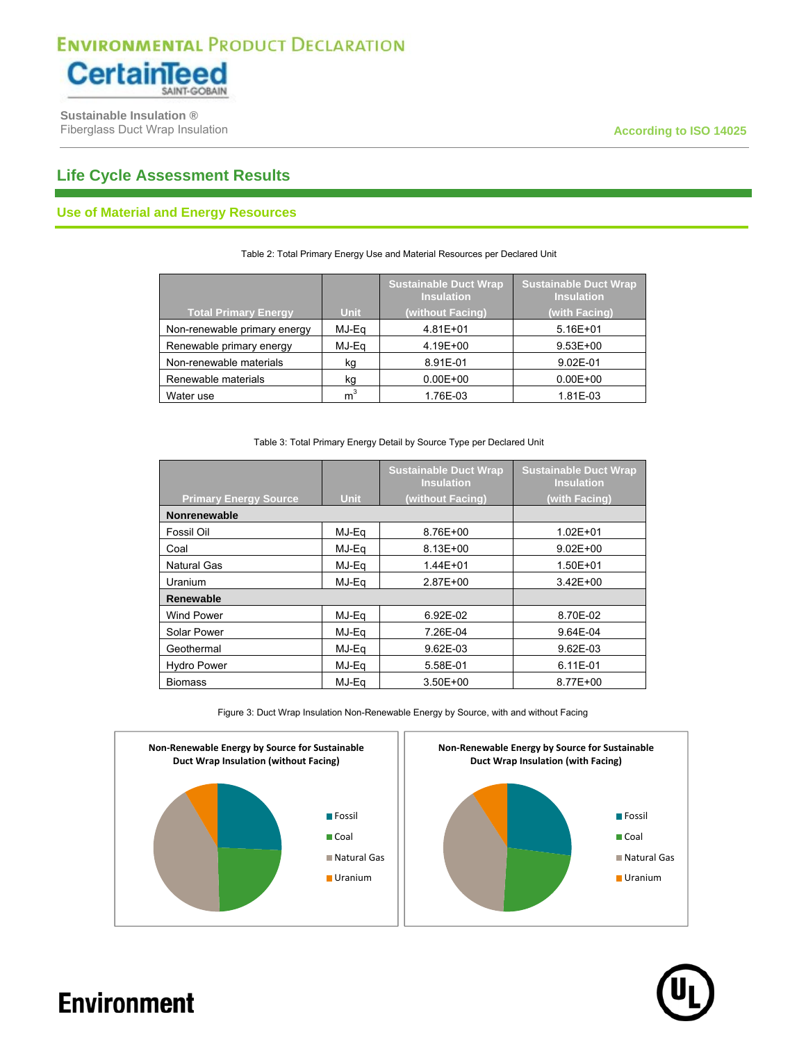

 **Sustainable Insulation ®** Fiberglass Duct Wrap Insulation **According to ISO 14025 According to ISO 14025** 

### **Life Cycle Assessment Results**

### **Use of Material and Energy Resources**

|                              |                | <b>Sustainable Duct Wrap</b><br><b>Insulation</b> | <b>Sustainable Duct Wrap</b><br><b>Insulation</b> |
|------------------------------|----------------|---------------------------------------------------|---------------------------------------------------|
| <b>Total Primary Energy</b>  | <b>Unit</b>    | (without Facing)                                  | (with Facing)                                     |
| Non-renewable primary energy | MJ-Ea          | 4.81E+01                                          | $5.16E + 01$                                      |
| Renewable primary energy     | MJ-Eq          | 4.19E+00                                          | $9.53E + 00$                                      |
| Non-renewable materials      | kg             | 8.91E-01                                          | 9.02E-01                                          |
| Renewable materials          | kg             | $0.00E + 00$                                      | $0.00E + 00$                                      |
| Water use                    | m <sup>3</sup> | 1.76E-03                                          | 1.81E-03                                          |

#### Table 2: Total Primary Energy Use and Material Resources per Declared Unit

#### Table 3: Total Primary Energy Detail by Source Type per Declared Unit

|                              |             | <b>Sustainable Duct Wrap</b><br><b>Insulation</b> | <b>Sustainable Duct Wrap</b><br><b>Insulation</b> |
|------------------------------|-------------|---------------------------------------------------|---------------------------------------------------|
| <b>Primary Energy Source</b> | <b>Unit</b> | (without Facing)                                  | (with Facing)                                     |
| <b>Nonrenewable</b>          |             |                                                   |                                                   |
| Fossil Oil                   | MJ-Eq       | 8.76E+00                                          | $1.02E + 01$                                      |
| Coal                         | MJ-Eq       | 8.13E+00                                          | $9.02E + 00$                                      |
| <b>Natural Gas</b>           | MJ-Ea       | 1.44E+01                                          | 1.50E+01                                          |
| Uranium                      | MJ-Ea       | $2.87E + 00$                                      | $3.42E + 00$                                      |
| <b>Renewable</b>             |             |                                                   |                                                   |
| Wind Power                   | MJ-Eq       | 6.92E-02                                          | 8.70E-02                                          |
| Solar Power                  | MJ-Ea       | 7.26E-04                                          | 9.64E-04                                          |
| Geothermal                   | MJ-Eq       | 9.62E-03                                          | 9.62E-03                                          |
| <b>Hydro Power</b>           | MJ-Ea       | 5.58E-01                                          | 6.11E-01                                          |
| <b>Biomass</b>               | MJ-Ea       | $3.50E + 00$                                      | 8.77E+00                                          |

Figure 3: Duct Wrap Insulation Non-Renewable Energy by Source, with and without Facing



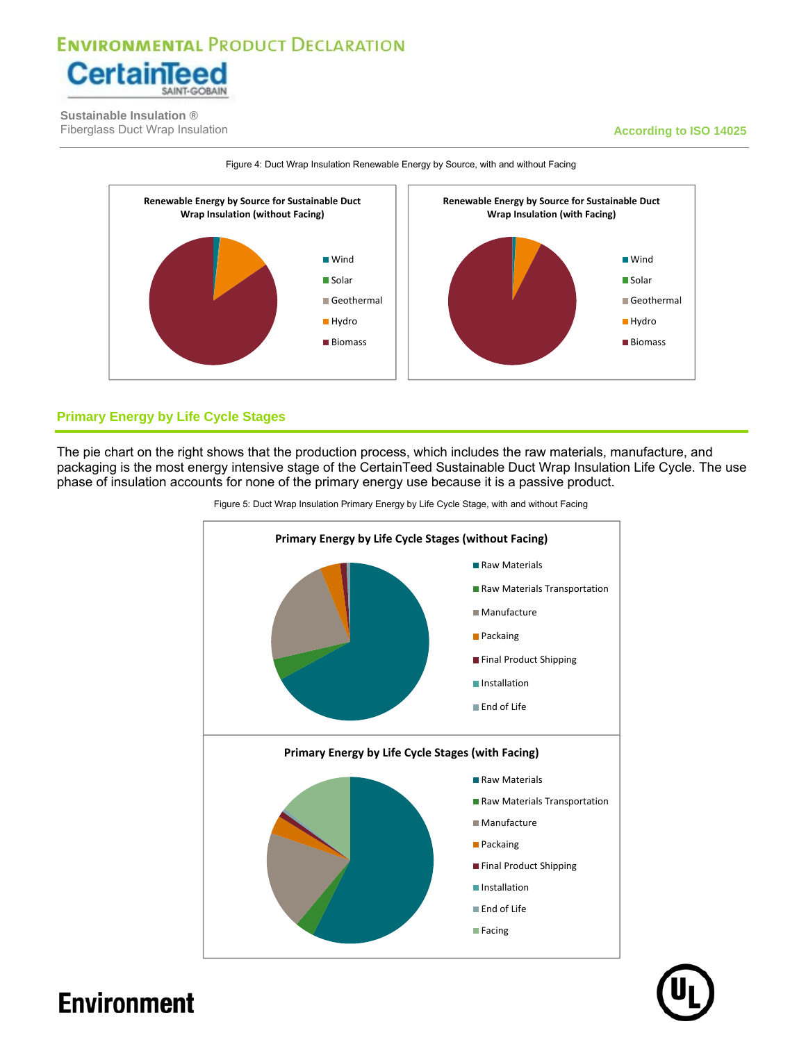

 **Sustainable Insulation ®** Fiberglass Duct Wrap Insulation **According to ISO 14025 According to ISO 14025** 



Figure 4: Duct Wrap Insulation Renewable Energy by Source, with and without Facing

### **Primary Energy by Life Cycle Stages**

The pie chart on the right shows that the production process, which includes the raw materials, manufacture, and packaging is the most energy intensive stage of the CertainTeed Sustainable Duct Wrap Insulation Life Cycle. The use phase of insulation accounts for none of the primary energy use because it is a passive product.



Figure 5: Duct Wrap Insulation Primary Energy by Life Cycle Stage, with and without Facing

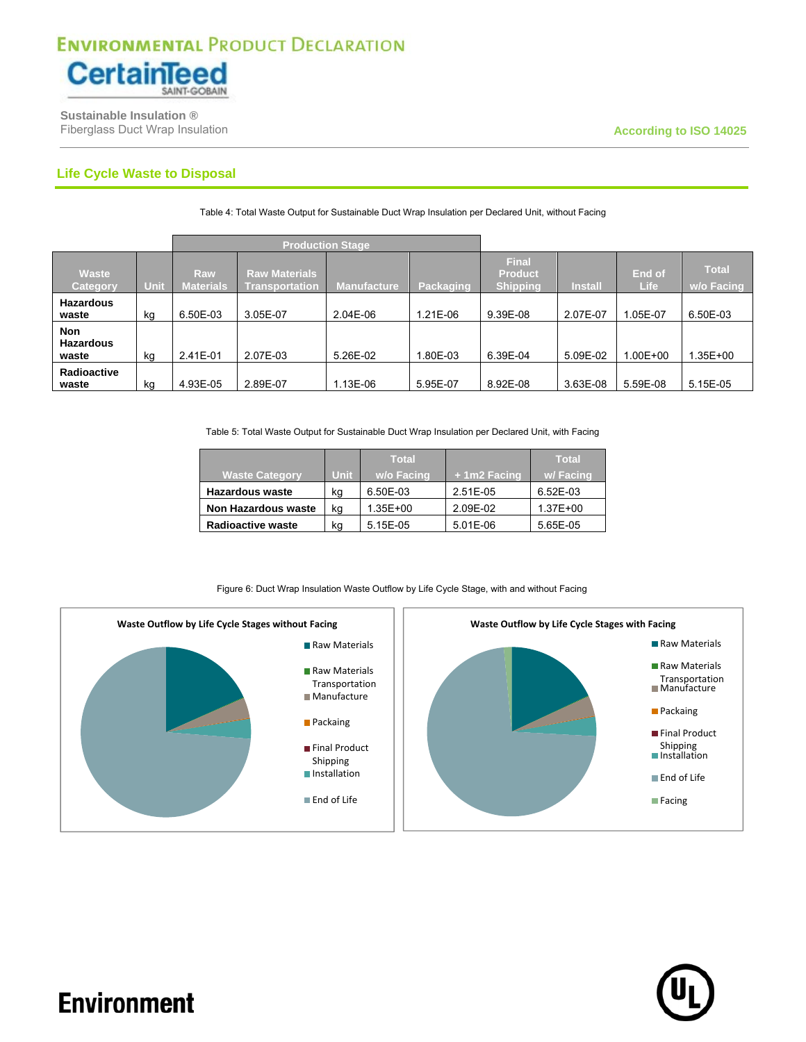

 **Sustainable Insulation ®** Fiberglass Duct Wrap Insulation **According to ISO 14025 According to ISO 14025** 

### **Life Cycle Waste to Disposal**

|                                         |      | <b>Production Stage</b> |                                               |                    |                  |                                                   |                |                       |                                   |
|-----------------------------------------|------|-------------------------|-----------------------------------------------|--------------------|------------------|---------------------------------------------------|----------------|-----------------------|-----------------------------------|
| <b>Waste</b><br>Category                | Unit | Raw<br><b>Materials</b> | <b>Raw Materials</b><br><b>Transportation</b> | <b>Manufacture</b> | <b>Packaging</b> | <b>Final</b><br><b>Product</b><br><b>Shipping</b> | <b>Install</b> | End of<br><b>Life</b> | <b>Total</b><br><b>w/o Facing</b> |
| <b>Hazardous</b><br>waste               | kg   | 6.50E-03                | 3.05E-07                                      | 2.04E-06           | 1.21E-06         | 9.39E-08                                          | 2.07E-07       | 1.05E-07              | 6.50E-03                          |
| <b>Non</b><br><b>Hazardous</b><br>waste | kg   | 2.41E-01                | 2.07E-03                                      | 5.26E-02           | .80E-03          | 6.39E-04                                          | 5.09E-02       | 1.00E+00              | 1.35E+00                          |
| Radioactive<br>waste                    | kg   | 4.93E-05                | 2.89E-07                                      | 1.13E-06           | 5.95E-07         | 8.92E-08                                          | 3.63E-08       | 5.59E-08              | 5.15E-05                          |

Table 4: Total Waste Output for Sustainable Duct Wrap Insulation per Declared Unit, without Facing

Table 5: Total Waste Output for Sustainable Duct Wrap Insulation per Declared Unit, with Facing

|                            |             | <b>Total</b> |             | <b>Total</b> |
|----------------------------|-------------|--------------|-------------|--------------|
| Waste Category             | <b>Unit</b> | w/o Facing   | +1m2 Facing | w/Facing     |
| <b>Hazardous waste</b>     | kg          | 6.50E-03     | 2.51E-05    | 6.52E-03     |
| <b>Non Hazardous waste</b> | kg          | 1.35E+00     | 2.09E-02    | 1.37E+00     |
| <b>Radioactive waste</b>   | kg          | 5.15E-05     | $5.01E-06$  | 5.65E-05     |

#### Figure 6: Duct Wrap Insulation Waste Outflow by Life Cycle Stage, with and without Facing



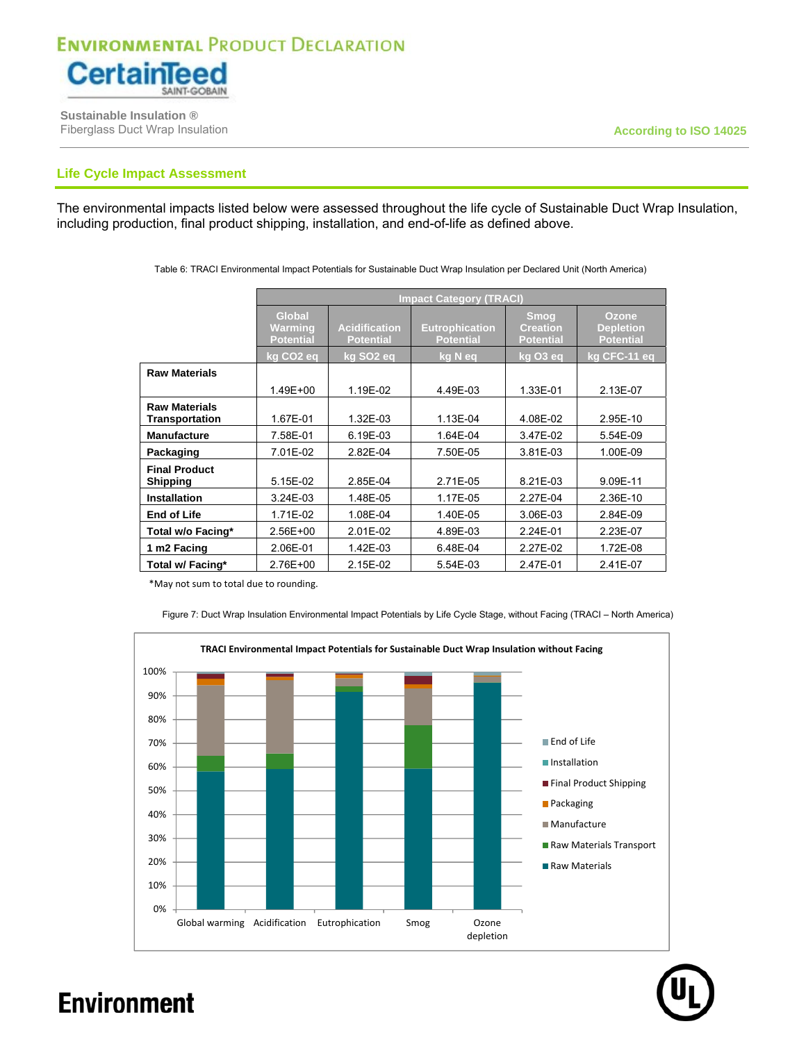

 **Sustainable Insulation ®** Fiberglass Duct Wrap Insulation **According to ISO 14025 According to ISO 14025** 

### **Life Cycle Impact Assessment**

The environmental impacts listed below were assessed throughout the life cycle of Sustainable Duct Wrap Insulation, including production, final product shipping, installation, and end-of-life as defined above.

|                                        | <b>Impact Category (TRACI)</b>               |                                          |                                           |                                                    |                                               |  |  |  |  |
|----------------------------------------|----------------------------------------------|------------------------------------------|-------------------------------------------|----------------------------------------------------|-----------------------------------------------|--|--|--|--|
|                                        | <b>Global</b><br>Warming<br><b>Potential</b> | <b>Acidification</b><br><b>Potential</b> | <b>Eutrophication</b><br><b>Potential</b> | <b>Smog</b><br><b>Creation</b><br><b>Potential</b> | Ozone<br><b>Depletion</b><br><b>Potential</b> |  |  |  |  |
|                                        | kg CO <sub>2</sub> eq                        | kg SO <sub>2</sub> eq                    | kg N eq                                   | kg O3 eq                                           | kg CFC-11 eg                                  |  |  |  |  |
| <b>Raw Materials</b>                   |                                              |                                          |                                           |                                                    |                                               |  |  |  |  |
|                                        | 1.49E+00                                     | 1.19E-02                                 | 4.49E-03                                  | 1.33E-01                                           | 2.13E-07                                      |  |  |  |  |
| <b>Raw Materials</b><br>Transportation | 1.67E-01                                     | 1.32E-03                                 | 1.13E-04                                  | 4.08E-02                                           | 2.95E-10                                      |  |  |  |  |
| <b>Manufacture</b>                     | 7.58E-01                                     | 6.19E-03                                 | 1.64E-04                                  | 3.47E-02                                           | 5.54E-09                                      |  |  |  |  |
| Packaging                              | 7.01E-02                                     | 2.82E-04                                 | 7.50E-05                                  | 3.81E-03                                           | 1.00E-09                                      |  |  |  |  |
| <b>Final Product</b><br>Shipping       | 5.15E-02                                     | 2.85E-04                                 | 2.71E-05                                  | 8.21E-03                                           | 9.09E-11                                      |  |  |  |  |
| <b>Installation</b>                    | 3.24E-03                                     | 1.48E-05                                 | 1.17E-05                                  | 2.27E-04                                           | 2.36E-10                                      |  |  |  |  |
| <b>End of Life</b>                     | 1.71E-02                                     | 1.08E-04                                 | 1.40E-05                                  | 3.06E-03                                           | 2.84E-09                                      |  |  |  |  |
| Total w/o Facing*                      | 2.56E+00                                     | $2.01E-02$                               | 4.89E-03                                  | 2.24E-01                                           | 2.23E-07                                      |  |  |  |  |
| 1 m2 Facing                            | 2.06E-01                                     | 1.42E-03                                 | 6.48E-04                                  | 2.27E-02                                           | 1.72E-08                                      |  |  |  |  |
| Total w/ Facing*                       | 2.76E+00                                     | 2.15E-02                                 | 5.54E-03                                  | 2.47E-01                                           | 2.41E-07                                      |  |  |  |  |

Table 6: TRACI Environmental Impact Potentials for Sustainable Duct Wrap Insulation per Declared Unit (North America)

\*May not sum to total due to rounding.



Figure 7: Duct Wrap Insulation Environmental Impact Potentials by Life Cycle Stage, without Facing (TRACI – North America)

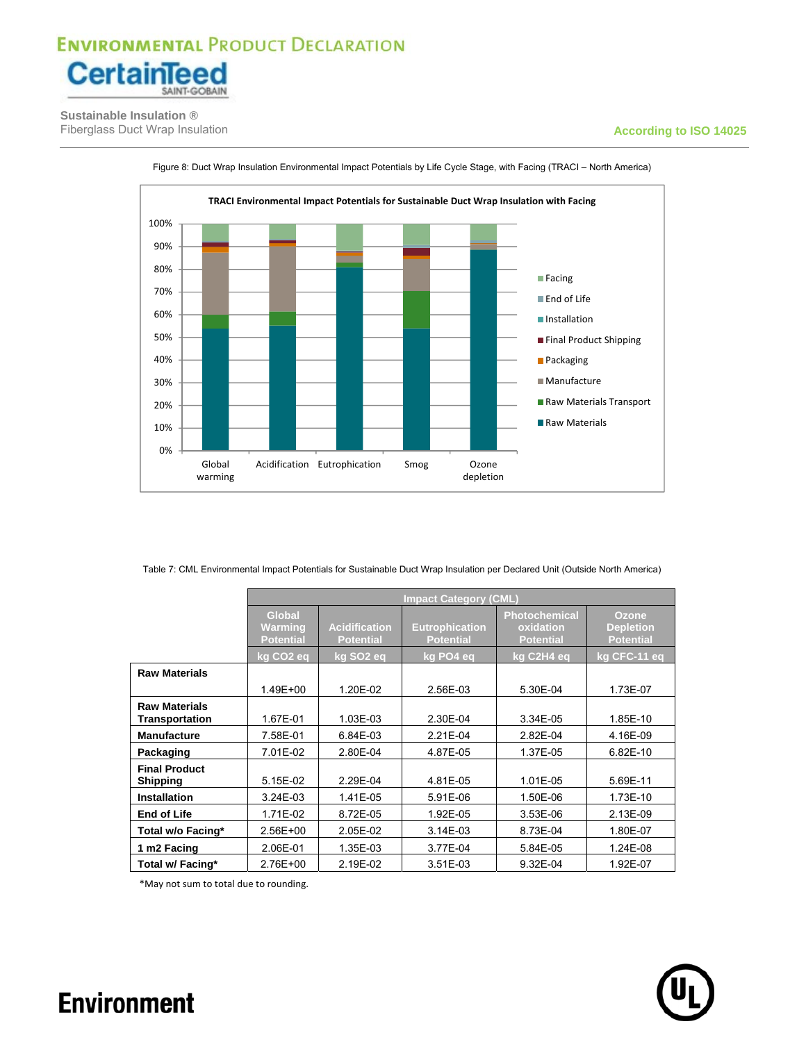

 **Sustainable Insulation ®** Fiberglass Duct Wrap Insulation **According to ISO 14025 According to ISO 14025** 

#### 0% 10% 20% 30% 40% 50% 60% 70% 80% 90% 100% Global warming Acidification Eutrophication Smog Ozone depletion **TRACI Environmental Impact Potentials for Sustainable Duct Wrap Insulation with Facing Facing End of Life Installation Final Product Shipping Packaging** Manufacture Raw Materials Transport Raw Materials

Figure 8: Duct Wrap Insulation Environmental Impact Potentials by Life Cycle Stage, with Facing (TRACI – North America)

Table 7: CML Environmental Impact Potentials for Sustainable Duct Wrap Insulation per Declared Unit (Outside North America)

|                                         | <b>Impact Category (CML)</b>                 |                                          |                                           |                                                       |                                                      |  |  |  |  |
|-----------------------------------------|----------------------------------------------|------------------------------------------|-------------------------------------------|-------------------------------------------------------|------------------------------------------------------|--|--|--|--|
|                                         | <b>Global</b><br>Warming<br><b>Potential</b> | <b>Acidification</b><br><b>Potential</b> | <b>Eutrophication</b><br><b>Potential</b> | <b>Photochemical</b><br>oxidation<br><b>Potential</b> | <b>Ozone</b><br><b>Depletion</b><br><b>Potential</b> |  |  |  |  |
|                                         | kg CO <sub>2</sub> eg                        | kg SO <sub>2</sub> eq                    | kg PO4 eq                                 | kg C2H4 eg                                            | kg CFC-11 eq                                         |  |  |  |  |
| <b>Raw Materials</b>                    |                                              |                                          |                                           |                                                       |                                                      |  |  |  |  |
|                                         | 1.49E+00                                     | 1.20E-02                                 | 2.56E-03                                  | 5.30E-04                                              | 1.73E-07                                             |  |  |  |  |
| <b>Raw Materials</b><br>Transportation  | 1.67E-01                                     | 1.03E-03                                 | 2.30E-04                                  | 3.34E-05                                              | 1.85E-10                                             |  |  |  |  |
| <b>Manufacture</b>                      | 7.58E-01                                     | 6.84E-03                                 | 2.21E-04                                  | 2.82E-04                                              | 4.16E-09                                             |  |  |  |  |
| Packaging                               | 7.01E-02                                     | 2.80E-04                                 | 4.87E-05                                  | 1.37E-05                                              | 6.82E-10                                             |  |  |  |  |
| <b>Final Product</b><br><b>Shipping</b> | 5.15E-02                                     | 2.29E-04                                 | 4.81E-05                                  | 1.01E-05                                              | 5.69E-11                                             |  |  |  |  |
| <b>Installation</b>                     | 3.24E-03                                     | 1.41E-05                                 | 5.91E-06                                  | 1.50E-06                                              | 1.73E-10                                             |  |  |  |  |
| <b>End of Life</b>                      | 1.71E-02                                     | 8.72E-05                                 | 1.92E-05                                  | 3.53E-06                                              | 2.13E-09                                             |  |  |  |  |
| Total w/o Facing*                       | 2.56E+00                                     | 2.05E-02                                 | 3.14E-03                                  | 8.73E-04                                              | 1.80E-07                                             |  |  |  |  |
| 1 m2 Facing                             | 2.06E-01                                     | 1.35E-03                                 | 3.77E-04                                  | 5.84E-05                                              | 1.24E-08                                             |  |  |  |  |
| Total w/ Facing*                        | 2.76E+00                                     | 2.19E-02                                 | 3.51E-03                                  | 9.32E-04                                              | 1.92E-07                                             |  |  |  |  |

\*May not sum to total due to rounding.

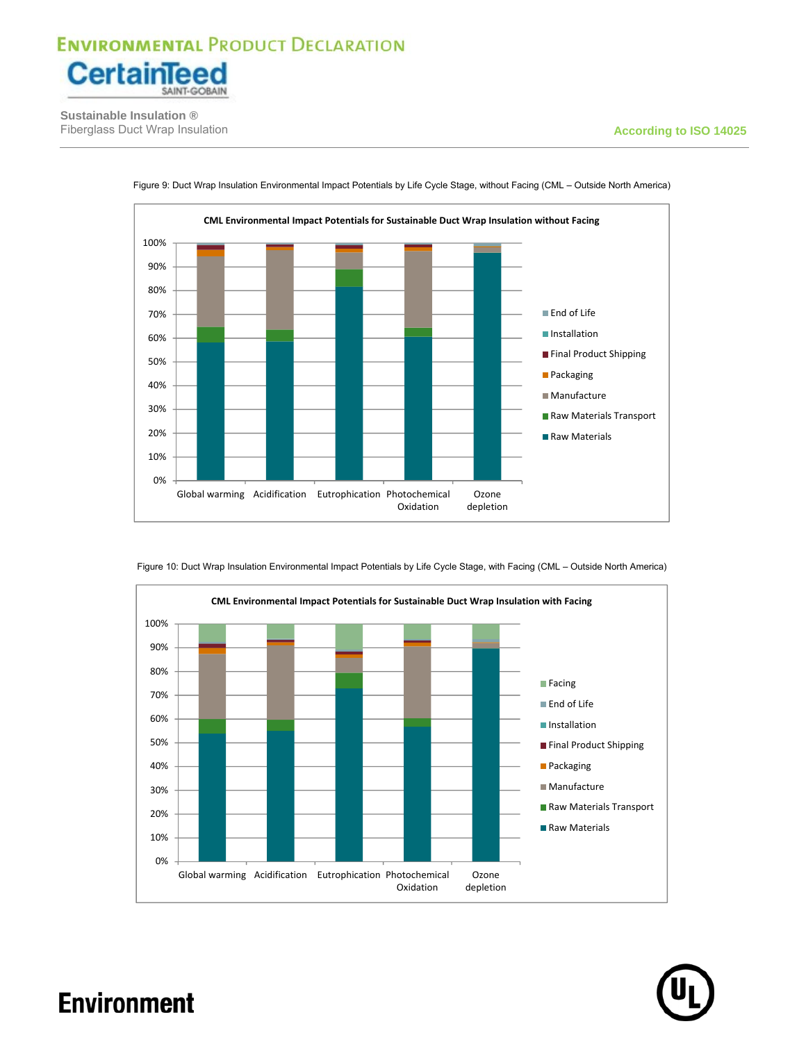

 **Sustainable Insulation ®** Fiberglass Duct Wrap Insulation **According to ISO 14025 According to ISO 14025** 



Figure 9: Duct Wrap Insulation Environmental Impact Potentials by Life Cycle Stage, without Facing (CML – Outside North America)



**Oxidation** 

depletion

Figure 10: Duct Wrap Insulation Environmental Impact Potentials by Life Cycle Stage, with Facing (CML – Outside North America)

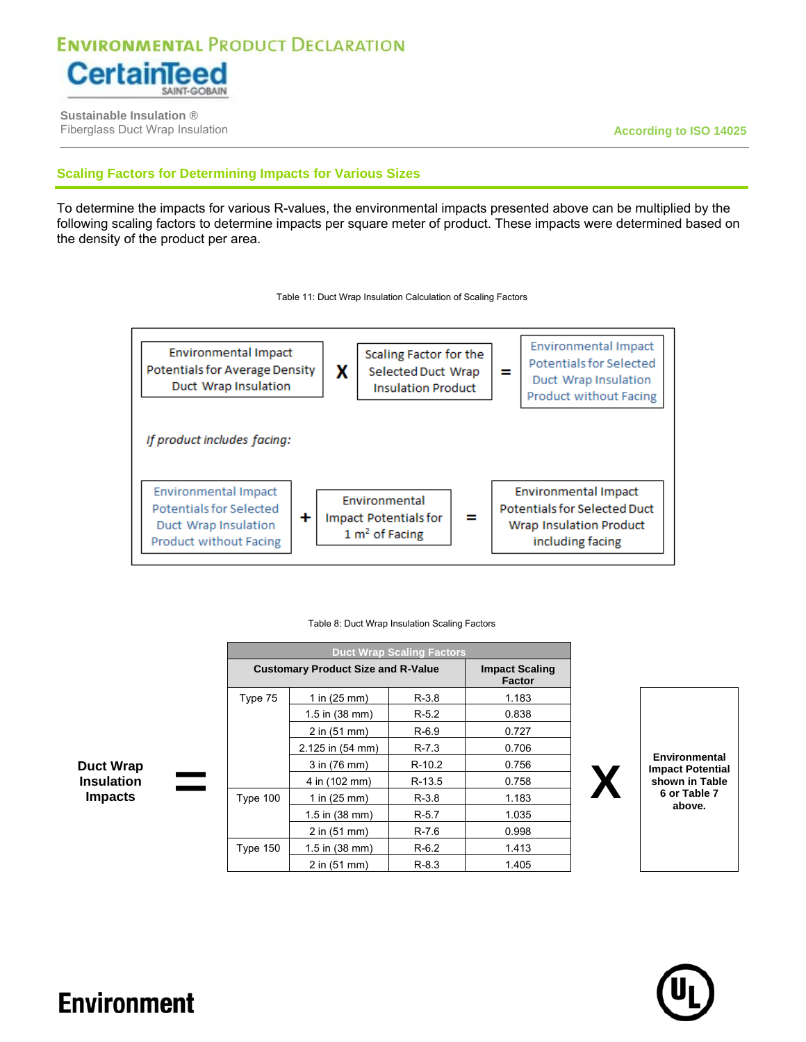

 **Sustainable Insulation ®** Fiberglass Duct Wrap Insulation **According to ISO 14025**

### **Scaling Factors for Determining Impacts for Various Sizes**

To determine the impacts for various R-values, the environmental impacts presented above can be multiplied by the following scaling factors to determine impacts per square meter of product. These impacts were determined based on the density of the product per area.





|                   |   |                  |                                           | <b>Duct Wrap Scaling Factors</b> |                                        |                               |
|-------------------|---|------------------|-------------------------------------------|----------------------------------|----------------------------------------|-------------------------------|
|                   |   |                  | <b>Customary Product Size and R-Value</b> |                                  | <b>Impact Scaling</b><br><b>Factor</b> |                               |
|                   |   | Type 75          | 1 in $(25 \, \text{mm})$                  | $R-3.8$                          | 1.183                                  |                               |
|                   |   |                  | $1.5$ in $(38$ mm)                        | $R-5.2$                          | 0.838                                  |                               |
|                   |   |                  | 2 in (51 mm)                              | $R-6.9$                          | 0.727                                  |                               |
|                   |   |                  | 2.125 in (54 mm)                          | $R - 7.3$                        | 0.706                                  |                               |
| <b>Duct Wrap</b>  |   |                  | 3 in (76 mm)                              | $R-10.2$                         | 0.756                                  | Environm<br><b>Impact Pot</b> |
| <b>Insulation</b> | ۰ |                  | 4 in (102 mm)                             | $R-13.5$                         | 0.758                                  | shown in 7                    |
| <b>Impacts</b>    |   | Type 100         | 1 in $(25 \text{ mm})$                    | $R-3.8$                          | 1.183                                  | 6 or Tabl<br>above            |
|                   |   | $1.5$ in (38 mm) | $R-5.7$                                   | 1.035                            |                                        |                               |
|                   |   | $2$ in (51 mm)   | $R - 7.6$                                 | 0.998                            |                                        |                               |
|                   |   | <b>Type 150</b>  | $1.5$ in $(38$ mm)                        | $R-6.2$                          | 1.413                                  |                               |
|                   |   |                  | 2 in (51 mm)                              | $R-8.3$                          | 1.405                                  |                               |

#### Table 8: Duct Wrap Insulation Scaling Factors

ental **I**ential **Table le 7 above.**

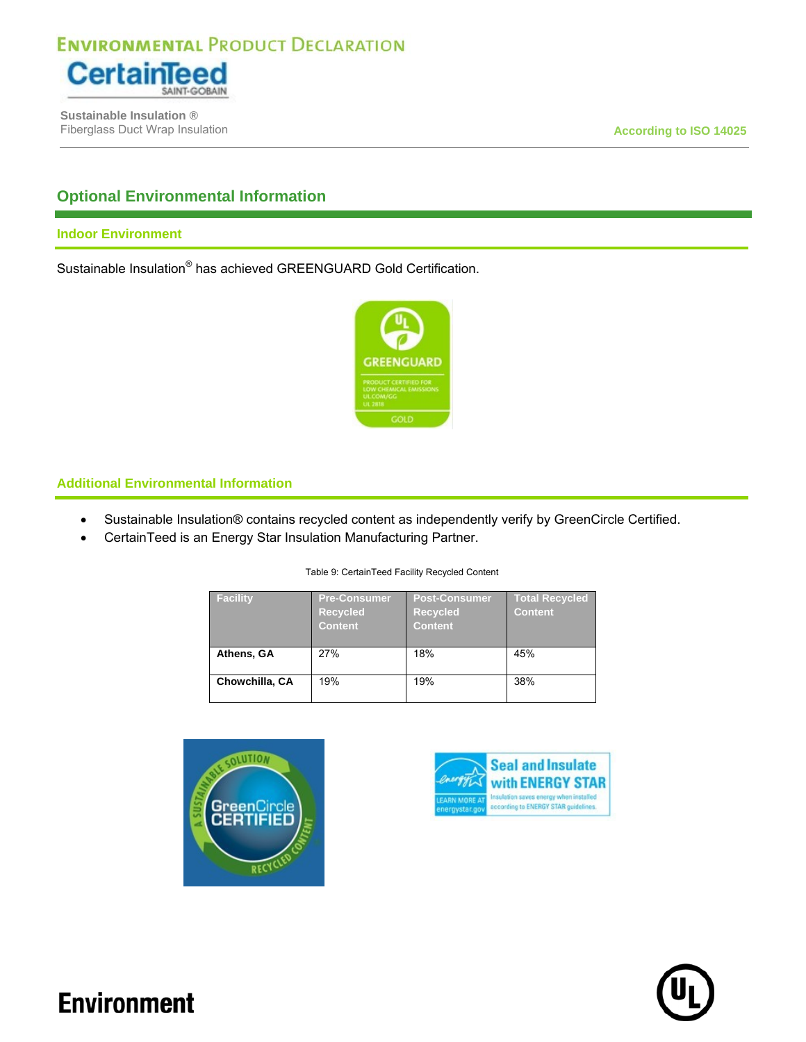

 **Sustainable Insulation ®** Fiberglass Duct Wrap Insulation **According to ISO 14025 According to ISO 14025** 

### **Optional Environmental Information**

### **Indoor Environment**

Sustainable Insulation® has achieved GREENGUARD Gold Certification.



### **Additional Environmental Information**

- Sustainable Insulation® contains recycled content as independently verify by GreenCircle Certified.
- CertainTeed is an Energy Star Insulation Manufacturing Partner.

#### Table 9: CertainTeed Facility Recycled Content

| Facility       | <b>Pre-Consumer</b><br><b>Recycled</b><br><b>Content</b> | Post-Consumer<br><b>Recycled</b><br><b>Content</b> | <b>Total Recycled</b><br><b>Content</b> |
|----------------|----------------------------------------------------------|----------------------------------------------------|-----------------------------------------|
| Athens, GA     | 27%                                                      | 18%                                                | 45%                                     |
| Chowchilla, CA | 19%                                                      | 19%                                                | 38%                                     |





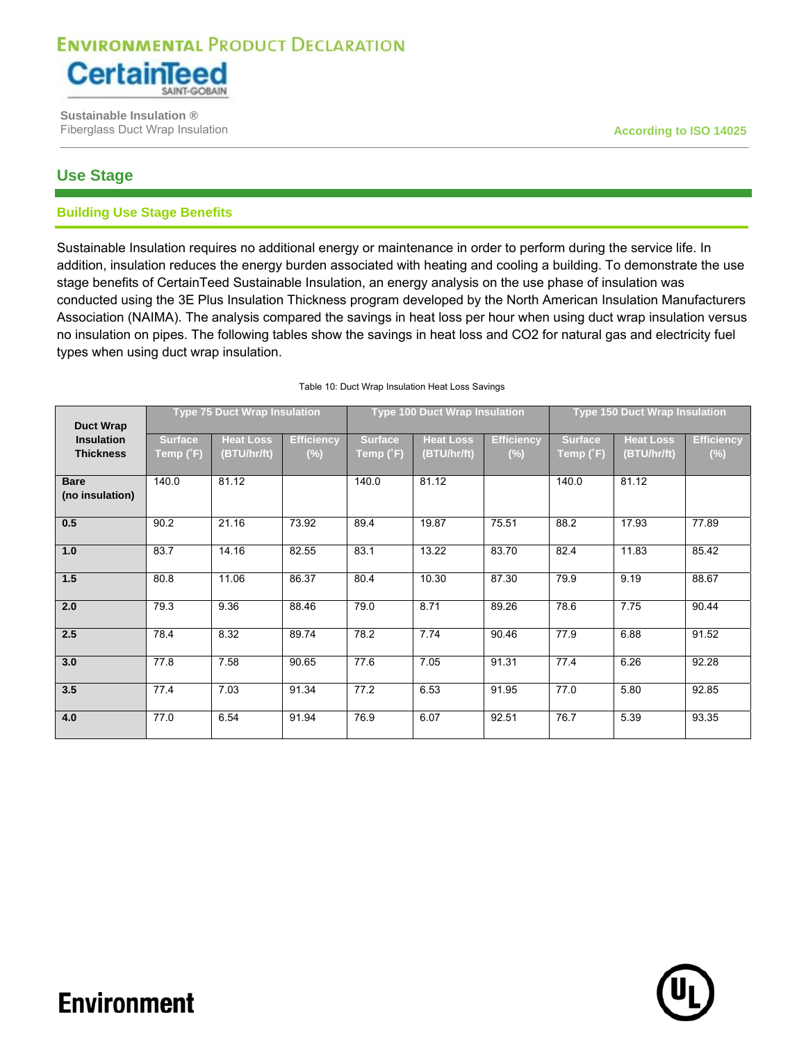

 **Sustainable Insulation ®** Fiberglass Duct Wrap Insulation **According to ISO 14025**

### **Use Stage**

### **Building Use Stage Benefits**

Sustainable Insulation requires no additional energy or maintenance in order to perform during the service life. In addition, insulation reduces the energy burden associated with heating and cooling a building. To demonstrate the use stage benefits of CertainTeed Sustainable Insulation, an energy analysis on the use phase of insulation was conducted using the 3E Plus Insulation Thickness program developed by the North American Insulation Manufacturers Association (NAIMA). The analysis compared the savings in heat loss per hour when using duct wrap insulation versus no insulation on pipes. The following tables show the savings in heat loss and CO2 for natural gas and electricity fuel types when using duct wrap insulation.

| <b>Duct Wrap</b>                      | <b>Type 75 Duct Wrap Insulation</b> |                                 |                             |                             | <b>Type 100 Duct Wrap Insulation</b> |                             | <b>Type 150 Duct Wrap Insulation</b> |                                 |                             |
|---------------------------------------|-------------------------------------|---------------------------------|-----------------------------|-----------------------------|--------------------------------------|-----------------------------|--------------------------------------|---------------------------------|-----------------------------|
| <b>Insulation</b><br><b>Thickness</b> | <b>Surface</b><br>Temp (°F)         | <b>Heat Loss</b><br>(BTU/hr/ft) | <b>Efficiency</b><br>$(\%)$ | <b>Surface</b><br>Temp (˚F) | <b>Heat Loss</b><br>(BTU/hr/ft)      | <b>Efficiency</b><br>$(\%)$ | <b>Surface</b><br>Temp (°F)          | <b>Heat Loss</b><br>(BTU/hr/ft) | <b>Efficiency</b><br>$(\%)$ |
| <b>Bare</b><br>(no insulation)        | 140.0                               | 81.12                           |                             | 140.0                       | 81.12                                |                             | 140.0                                | 81.12                           |                             |
| 0.5                                   | 90.2                                | 21.16                           | 73.92                       | 89.4                        | 19.87                                | 75.51                       | 88.2                                 | 17.93                           | 77.89                       |
| 1.0                                   | 83.7                                | 14.16                           | 82.55                       | 83.1                        | 13.22                                | 83.70                       | 82.4                                 | 11.83                           | 85.42                       |
| 1.5                                   | 80.8                                | 11.06                           | 86.37                       | 80.4                        | 10.30                                | 87.30                       | 79.9                                 | 9.19                            | 88.67                       |
| 2.0                                   | 79.3                                | 9.36                            | 88.46                       | 79.0                        | 8.71                                 | 89.26                       | 78.6                                 | 7.75                            | 90.44                       |
| 2.5                                   | 78.4                                | 8.32                            | 89.74                       | 78.2                        | 7.74                                 | 90.46                       | 77.9                                 | 6.88                            | 91.52                       |
| 3.0                                   | 77.8                                | 7.58                            | 90.65                       | 77.6                        | 7.05                                 | 91.31                       | 77.4                                 | 6.26                            | 92.28                       |
| 3.5                                   | 77.4                                | 7.03                            | 91.34                       | 77.2                        | 6.53                                 | 91.95                       | 77.0                                 | 5.80                            | 92.85                       |
| 4.0                                   | 77.0                                | 6.54                            | 91.94                       | 76.9                        | 6.07                                 | 92.51                       | 76.7                                 | 5.39                            | 93.35                       |

#### Table 10: Duct Wrap Insulation Heat Loss Savings

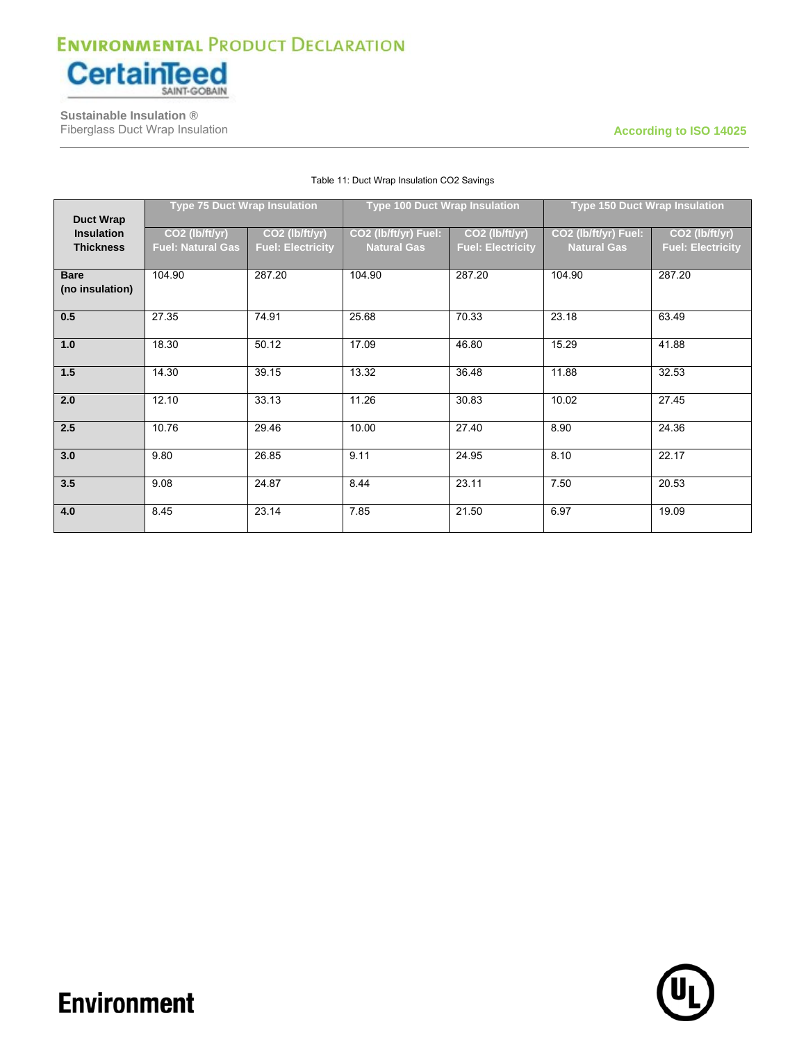

 **Sustainable Insulation ®** Fiberglass Duct Wrap Insulation **According to ISO 14025 According to ISO 14025** 

|                   | <b>Type 75 Duct Wrap Insulation</b> |                          | <b>Type 100 Duct Wrap Insulation</b> |                          | <b>Type 150 Duct Wrap Insulation</b> |                            |  |
|-------------------|-------------------------------------|--------------------------|--------------------------------------|--------------------------|--------------------------------------|----------------------------|--|
| <b>Duct Wrap</b>  |                                     |                          |                                      |                          |                                      |                            |  |
| <b>Insulation</b> | CO2 (lb/ft/yr)                      | CO2 (lb/ft/yr)           | CO2 (lb/ft/yr) Fuel:                 | CO2 (lb/ft/yr)           | CO2 (lb/ft/yr) Fuel:                 | CO <sub>2</sub> (lb/ft/yr) |  |
| <b>Thickness</b>  | <b>Fuel: Natural Gas</b>            | <b>Fuel: Electricity</b> | <b>Natural Gas</b>                   | <b>Fuel: Electricity</b> | <b>Natural Gas</b>                   | <b>Fuel: Electricity</b>   |  |
|                   |                                     |                          |                                      |                          |                                      |                            |  |
| <b>Bare</b>       | 104.90                              | 287.20                   | 104.90                               | 287.20                   | 104.90                               | 287.20                     |  |
| (no insulation)   |                                     |                          |                                      |                          |                                      |                            |  |
| 0.5               | 27.35                               | 74.91                    | 25.68                                | 70.33                    | 23.18                                | 63.49                      |  |
| 1.0               | 18.30                               | 50.12                    | 17.09                                | 46.80                    | 15.29                                | 41.88                      |  |
| 1.5               | 14.30                               | 39.15                    | 13.32                                | 36.48                    | 11.88                                | 32.53                      |  |
| 2.0               | 12.10                               | 33.13                    | 11.26                                | 30.83                    | 10.02                                | 27.45                      |  |
| 2.5               | 10.76                               | 29.46                    | 10.00                                | 27.40                    | 8.90                                 | 24.36                      |  |
| 3.0               | 9.80                                | 26.85                    | 9.11                                 | 24.95                    | 8.10                                 | 22.17                      |  |
| 3.5               | 9.08                                | 24.87                    | 8.44                                 | 23.11                    | 7.50                                 | 20.53                      |  |
| 4.0               | 8.45                                | 23.14                    | 7.85                                 | 21.50                    | 6.97                                 | 19.09                      |  |

#### Table 11: Duct Wrap Insulation CO2 Savings